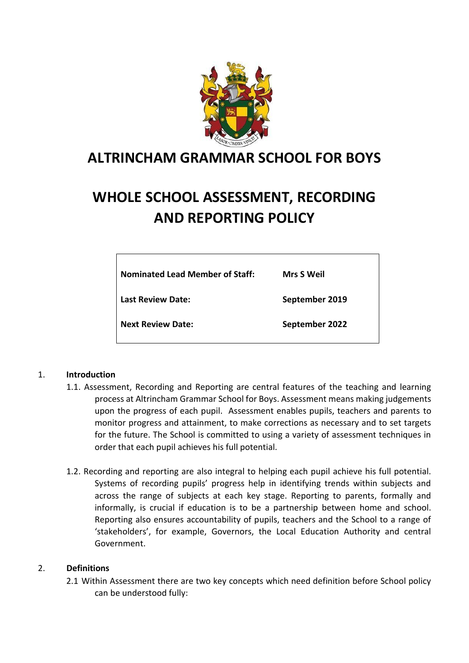

# **ALTRINCHAM GRAMMAR SCHOOL FOR BOYS**

# **WHOLE SCHOOL ASSESSMENT, RECORDING AND REPORTING POLICY**

| <b>Nominated Lead Member of Staff:</b> | <b>Mrs S Weil</b> |
|----------------------------------------|-------------------|
| Last Review Date:                      | September 2019    |
| <b>Next Review Date:</b>               | September 2022    |

#### 1. **Introduction**

- 1.1. Assessment, Recording and Reporting are central features of the teaching and learning process at Altrincham Grammar School for Boys. Assessment means making judgements upon the progress of each pupil. Assessment enables pupils, teachers and parents to monitor progress and attainment, to make corrections as necessary and to set targets for the future. The School is committed to using a variety of assessment techniques in order that each pupil achieves his full potential.
- 1.2. Recording and reporting are also integral to helping each pupil achieve his full potential. Systems of recording pupils' progress help in identifying trends within subjects and across the range of subjects at each key stage. Reporting to parents, formally and informally, is crucial if education is to be a partnership between home and school. Reporting also ensures accountability of pupils, teachers and the School to a range of 'stakeholders', for example, Governors, the Local Education Authority and central Government.

#### 2. **Definitions**

2.1 Within Assessment there are two key concepts which need definition before School policy can be understood fully: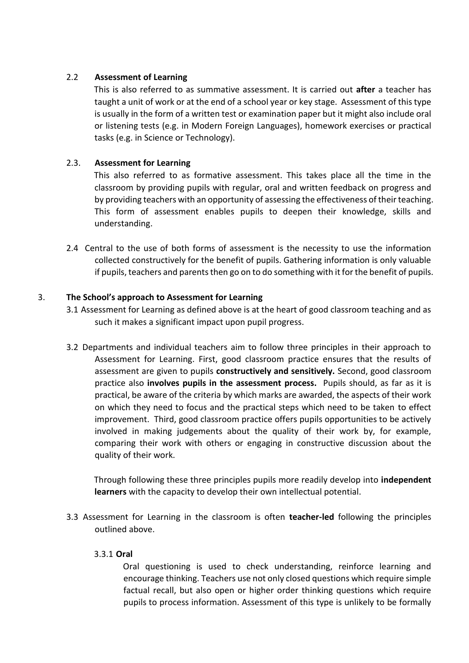# 2.2 **Assessment of Learning**

This is also referred to as summative assessment. It is carried out **after** a teacher has taught a unit of work or at the end of a school year or key stage. Assessment of this type is usually in the form of a written test or examination paper but it might also include oral or listening tests (e.g. in Modern Foreign Languages), homework exercises or practical tasks (e.g. in Science or Technology).

# 2.3. **Assessment for Learning**

This also referred to as formative assessment. This takes place all the time in the classroom by providing pupils with regular, oral and written feedback on progress and by providing teachers with an opportunity of assessing the effectiveness of their teaching. This form of assessment enables pupils to deepen their knowledge, skills and understanding.

2.4 Central to the use of both forms of assessment is the necessity to use the information collected constructively for the benefit of pupils. Gathering information is only valuable if pupils, teachers and parents then go on to do something with it for the benefit of pupils.

#### 3. **The School's approach to Assessment for Learning**

- 3.1 Assessment for Learning as defined above is at the heart of good classroom teaching and as such it makes a significant impact upon pupil progress.
- 3.2 Departments and individual teachers aim to follow three principles in their approach to Assessment for Learning. First, good classroom practice ensures that the results of assessment are given to pupils **constructively and sensitively.** Second, good classroom practice also **involves pupils in the assessment process.** Pupils should, as far as it is practical, be aware of the criteria by which marks are awarded, the aspects of their work on which they need to focus and the practical steps which need to be taken to effect improvement. Third, good classroom practice offers pupils opportunities to be actively involved in making judgements about the quality of their work by, for example, comparing their work with others or engaging in constructive discussion about the quality of their work.

Through following these three principles pupils more readily develop into **independent learners** with the capacity to develop their own intellectual potential.

3.3 Assessment for Learning in the classroom is often **teacher-led** following the principles outlined above.

#### 3.3.1 **Oral**

Oral questioning is used to check understanding, reinforce learning and encourage thinking. Teachers use not only closed questions which require simple factual recall, but also open or higher order thinking questions which require pupils to process information. Assessment of this type is unlikely to be formally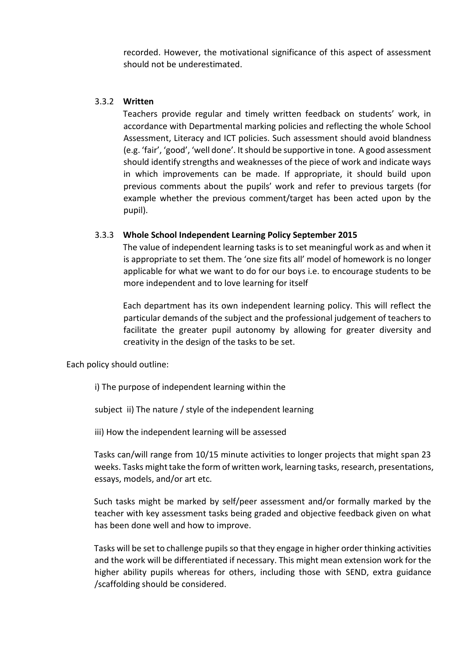recorded. However, the motivational significance of this aspect of assessment should not be underestimated.

#### 3.3.2 **Written**

Teachers provide regular and timely written feedback on students' work, in accordance with Departmental marking policies and reflecting the whole School Assessment, Literacy and ICT policies. Such assessment should avoid blandness (e.g. 'fair', 'good', 'well done'. It should be supportive in tone. A good assessment should identify strengths and weaknesses of the piece of work and indicate ways in which improvements can be made. If appropriate, it should build upon previous comments about the pupils' work and refer to previous targets (for example whether the previous comment/target has been acted upon by the pupil).

#### 3.3.3 **Whole School Independent Learning Policy September 2015**

The value of independent learning tasks is to set meaningful work as and when it is appropriate to set them. The 'one size fits all' model of homework is no longer applicable for what we want to do for our boys i.e. to encourage students to be more independent and to love learning for itself

Each department has its own independent learning policy. This will reflect the particular demands of the subject and the professional judgement of teachers to facilitate the greater pupil autonomy by allowing for greater diversity and creativity in the design of the tasks to be set.

Each policy should outline:

i) The purpose of independent learning within the

subject ii) The nature / style of the independent learning

iii) How the independent learning will be assessed

Tasks can/will range from 10/15 minute activities to longer projects that might span 23 weeks. Tasks might take the form of written work, learning tasks, research, presentations, essays, models, and/or art etc.

Such tasks might be marked by self/peer assessment and/or formally marked by the teacher with key assessment tasks being graded and objective feedback given on what has been done well and how to improve.

Tasks will be set to challenge pupils so that they engage in higher order thinking activities and the work will be differentiated if necessary. This might mean extension work for the higher ability pupils whereas for others, including those with SEND, extra guidance /scaffolding should be considered.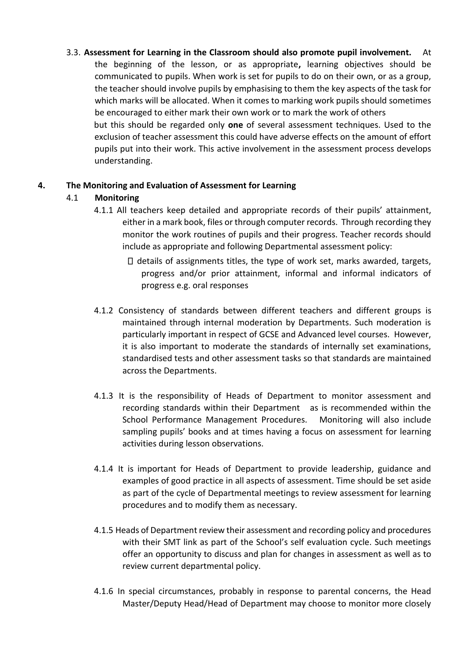3.3. **Assessment for Learning in the Classroom should also promote pupil involvement.** At the beginning of the lesson, or as appropriate**,** learning objectives should be communicated to pupils. When work is set for pupils to do on their own, or as a group, the teacher should involve pupils by emphasising to them the key aspects of the task for which marks will be allocated. When it comes to marking work pupils should sometimes be encouraged to either mark their own work or to mark the work of others but this should be regarded only **one** of several assessment techniques. Used to the exclusion of teacher assessment this could have adverse effects on the amount of effort pupils put into their work. This active involvement in the assessment process develops understanding.

# **4. The Monitoring and Evaluation of Assessment for Learning**

# 4.1 **Monitoring**

- 4.1.1 All teachers keep detailed and appropriate records of their pupils' attainment, either in a mark book, files or through computer records. Through recording they monitor the work routines of pupils and their progress. Teacher records should include as appropriate and following Departmental assessment policy:
	- $\Box$  details of assignments titles, the type of work set, marks awarded, targets, progress and/or prior attainment, informal and informal indicators of progress e.g. oral responses
- 4.1.2 Consistency of standards between different teachers and different groups is maintained through internal moderation by Departments. Such moderation is particularly important in respect of GCSE and Advanced level courses. However, it is also important to moderate the standards of internally set examinations, standardised tests and other assessment tasks so that standards are maintained across the Departments.
- 4.1.3 It is the responsibility of Heads of Department to monitor assessment and recording standards within their Department as is recommended within the School Performance Management Procedures. Monitoring will also include sampling pupils' books and at times having a focus on assessment for learning activities during lesson observations.
- 4.1.4 It is important for Heads of Department to provide leadership, guidance and examples of good practice in all aspects of assessment. Time should be set aside as part of the cycle of Departmental meetings to review assessment for learning procedures and to modify them as necessary.
- 4.1.5 Heads of Department review their assessment and recording policy and procedures with their SMT link as part of the School's self evaluation cycle. Such meetings offer an opportunity to discuss and plan for changes in assessment as well as to review current departmental policy.
- 4.1.6 In special circumstances, probably in response to parental concerns, the Head Master/Deputy Head/Head of Department may choose to monitor more closely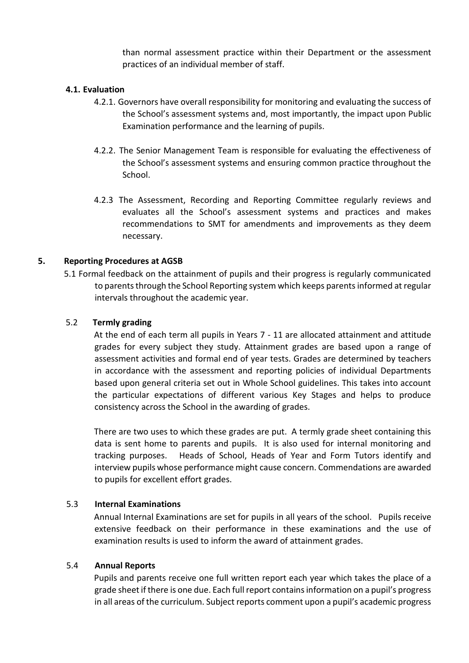than normal assessment practice within their Department or the assessment practices of an individual member of staff.

#### **4.1. Evaluation**

- 4.2.1. Governors have overall responsibility for monitoring and evaluating the success of the School's assessment systems and, most importantly, the impact upon Public Examination performance and the learning of pupils.
- 4.2.2. The Senior Management Team is responsible for evaluating the effectiveness of the School's assessment systems and ensuring common practice throughout the School.
- 4.2.3 The Assessment, Recording and Reporting Committee regularly reviews and evaluates all the School's assessment systems and practices and makes recommendations to SMT for amendments and improvements as they deem necessary.

#### **5. Reporting Procedures at AGSB**

5.1 Formal feedback on the attainment of pupils and their progress is regularly communicated to parents through the School Reporting system which keeps parents informed at regular intervals throughout the academic year.

#### 5.2 **Termly grading**

At the end of each term all pupils in Years 7 - 11 are allocated attainment and attitude grades for every subject they study. Attainment grades are based upon a range of assessment activities and formal end of year tests. Grades are determined by teachers in accordance with the assessment and reporting policies of individual Departments based upon general criteria set out in Whole School guidelines. This takes into account the particular expectations of different various Key Stages and helps to produce consistency across the School in the awarding of grades.

There are two uses to which these grades are put. A termly grade sheet containing this data is sent home to parents and pupils. It is also used for internal monitoring and tracking purposes. Heads of School, Heads of Year and Form Tutors identify and interview pupils whose performance might cause concern. Commendations are awarded to pupils for excellent effort grades.

#### 5.3 **Internal Examinations**

Annual Internal Examinations are set for pupils in all years of the school. Pupils receive extensive feedback on their performance in these examinations and the use of examination results is used to inform the award of attainment grades.

#### 5.4 **Annual Reports**

Pupils and parents receive one full written report each year which takes the place of a grade sheet if there is one due. Each full report contains information on a pupil's progress in all areas of the curriculum. Subject reports comment upon a pupil's academic progress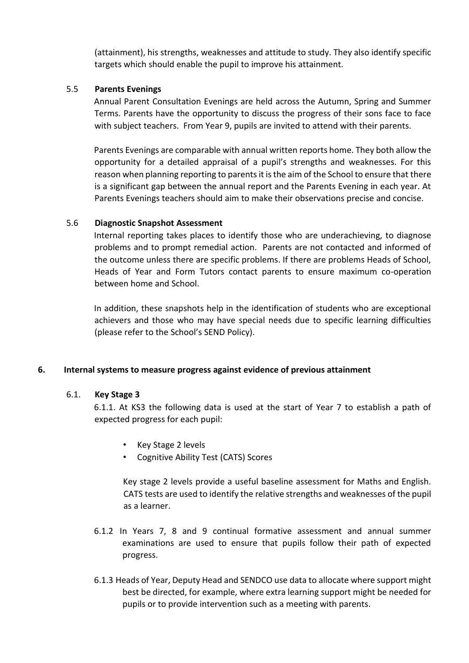(attainment), his strengths, weaknesses and attitude to study. They also identify specific targets which should enable the pupil to improve his attainment.

#### 5.5 **Parents Evenings**

Annual Parent Consultation Evenings are held across the Autumn, Spring and Summer Terms. Parents have the opportunity to discuss the progress of their sons face to face with subject teachers. From Year 9, pupils are invited to attend with their parents.

Parents Evenings are comparable with annual written reports home. They both allow the opportunity for a detailed appraisal of a pupil's strengths and weaknesses. For this reason when planning reporting to parents it is the aim of the School to ensure that there is a significant gap between the annual report and the Parents Evening in each year. At Parents Evenings teachers should aim to make their observations precise and concise.

#### 5.6 **Diagnostic Snapshot Assessment**

Internal reporting takes places to identify those who are underachieving, to diagnose problems and to prompt remedial action. Parents are not contacted and informed of the outcome unless there are specific problems. If there are problems Heads of School, Heads of Year and Form Tutors contact parents to ensure maximum co-operation between home and School.

In addition, these snapshots help in the identification of students who are exceptional achievers and those who may have special needs due to specific learning difficulties (please refer to the School's SEND Policy).

# **6. Internal systems to measure progress against evidence of previous attainment**

#### 6.1. **Key Stage 3**

6.1.1. At KS3 the following data is used at the start of Year 7 to establish a path of expected progress for each pupil:

- Key Stage 2 levels
- Cognitive Ability Test (CATS) Scores

Key stage 2 levels provide a useful baseline assessment for Maths and English. CATS tests are used to identify the relative strengths and weaknesses of the pupil as a learner.

- 6.1.2 In Years 7, 8 and 9 continual formative assessment and annual summer examinations are used to ensure that pupils follow their path of expected progress.
- 6.1.3 Heads of Year, Deputy Head and SENDCO use data to allocate where support might best be directed, for example, where extra learning support might be needed for pupils or to provide intervention such as a meeting with parents.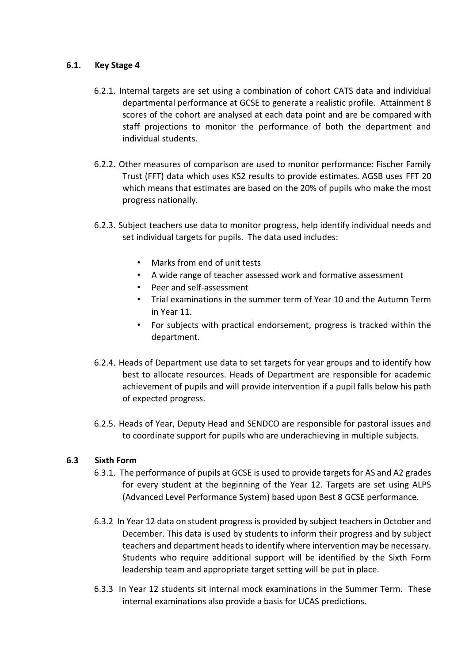#### **6.1. Key Stage 4**

- 6.2.1. Internal targets are set using a combination of cohort CATS data and individual departmental performance at GCSE to generate a realistic profile. Attainment 8 scores of the cohort are analysed at each data point and are be compared with staff projections to monitor the performance of both the department and individual students.
- 6.2.2. Other measures of comparison are used to monitor performance: Fischer Family Trust (FFT) data which uses KS2 results to provide estimates. AGSB uses FFT 20 which means that estimates are based on the 20% of pupils who make the most progress nationally.
- 6.2.3. Subject teachers use data to monitor progress, help identify individual needs and set individual targets for pupils. The data used includes:
	- Marks from end of unit tests
	- A wide range of teacher assessed work and formative assessment
	- Peer and self-assessment
	- Trial examinations in the summer term of Year 10 and the Autumn Term in Year 11.
	- For subjects with practical endorsement, progress is tracked within the department.
- 6.2.4. Heads of Department use data to set targets for year groups and to identify how best to allocate resources. Heads of Department are responsible for academic achievement of pupils and will provide intervention if a pupil falls below his path of expected progress.
- 6.2.5. Heads of Year, Deputy Head and SENDCO are responsible for pastoral issues and to coordinate support for pupils who are underachieving in multiple subjects.

# **6.3 Sixth Form**

- 6.3.1. The performance of pupils at GCSE is used to provide targets for AS and A2 grades for every student at the beginning of the Year 12. Targets are set using ALPS (Advanced Level Performance System) based upon Best 8 GCSE performance.
- 6.3.2 In Year 12 data on student progress is provided by subject teachers in October and December. This data is used by students to inform their progress and by subject teachers and department heads to identify where intervention may be necessary. Students who require additional support will be identified by the Sixth Form leadership team and appropriate target setting will be put in place.
- 6.3.3 In Year 12 students sit internal mock examinations in the Summer Term. These internal examinations also provide a basis for UCAS predictions.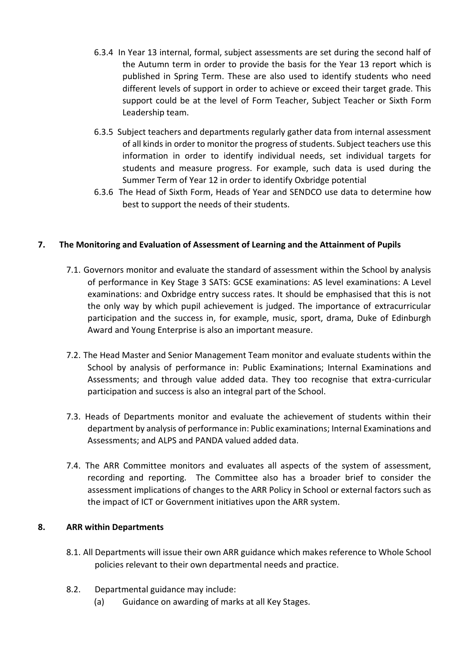- 6.3.4 In Year 13 internal, formal, subject assessments are set during the second half of the Autumn term in order to provide the basis for the Year 13 report which is published in Spring Term. These are also used to identify students who need different levels of support in order to achieve or exceed their target grade. This support could be at the level of Form Teacher, Subject Teacher or Sixth Form Leadership team.
- 6.3.5 Subject teachers and departments regularly gather data from internal assessment of all kinds in order to monitor the progress of students. Subject teachers use this information in order to identify individual needs, set individual targets for students and measure progress. For example, such data is used during the Summer Term of Year 12 in order to identify Oxbridge potential
- 6.3.6 The Head of Sixth Form, Heads of Year and SENDCO use data to determine how best to support the needs of their students.

# **7. The Monitoring and Evaluation of Assessment of Learning and the Attainment of Pupils**

- 7.1. Governors monitor and evaluate the standard of assessment within the School by analysis of performance in Key Stage 3 SATS: GCSE examinations: AS level examinations: A Level examinations: and Oxbridge entry success rates. It should be emphasised that this is not the only way by which pupil achievement is judged. The importance of extracurricular participation and the success in, for example, music, sport, drama, Duke of Edinburgh Award and Young Enterprise is also an important measure.
- 7.2. The Head Master and Senior Management Team monitor and evaluate students within the School by analysis of performance in: Public Examinations; Internal Examinations and Assessments; and through value added data. They too recognise that extra-curricular participation and success is also an integral part of the School.
- 7.3. Heads of Departments monitor and evaluate the achievement of students within their department by analysis of performance in: Public examinations; Internal Examinations and Assessments; and ALPS and PANDA valued added data.
- 7.4. The ARR Committee monitors and evaluates all aspects of the system of assessment, recording and reporting. The Committee also has a broader brief to consider the assessment implications of changes to the ARR Policy in School or external factors such as the impact of ICT or Government initiatives upon the ARR system.

# **8. ARR within Departments**

- 8.1. All Departments will issue their own ARR guidance which makes reference to Whole School policies relevant to their own departmental needs and practice.
- 8.2. Departmental guidance may include:
	- (a) Guidance on awarding of marks at all Key Stages.